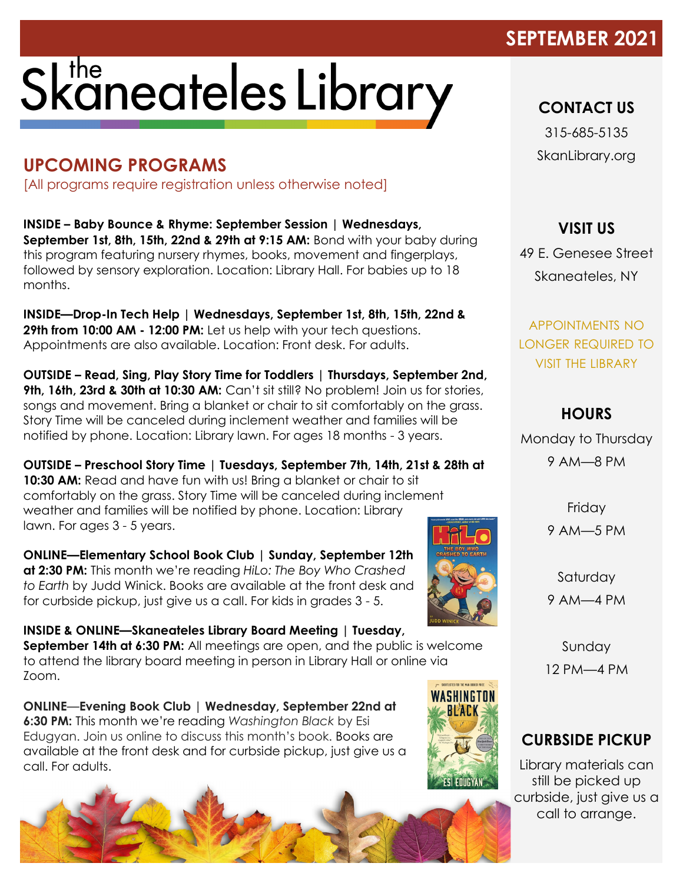### SEPTEMBER 2021

# Skaneateles Library

#### **UPCOMING PROGRAMS**

[All programs require registration unless otherwise noted]

**INSIDE – Baby Bounce & Rhyme: September Session | Wednesdays, September 1st, 8th, 15th, 22nd & 29th at 9:15 AM:** Bond with your baby during this program featuring nursery rhymes, books, movement and fingerplays, followed by sensory exploration. Location: Library Hall. For babies up to 18 months.

**INSIDE—Drop-In Tech Help | Wednesdays, September 1st, 8th, 15th, 22nd & 29th from 10:00 AM - 12:00 PM:** Let us help with your tech questions. Appointments are also available. Location: Front desk. For adults.

**OUTSIDE – Read, Sing, Play Story Time for Toddlers | Thursdays, September 2nd, 9th, 16th, 23rd & 30th at 10:30 AM:** Can't sit still? No problem! Join us for stories, songs and movement. Bring a blanket or chair to sit comfortably on the grass. Story Time will be canceled during inclement weather and families will be notified by phone. Location: Library lawn. For ages 18 months - 3 years.

**OUTSIDE – Preschool Story Time | Tuesdays, September 7th, 14th, 21st & 28th at 10:30 AM:** Read and have fun with us! Bring a blanket or chair to sit comfortably on the grass. Story Time will be canceled during inclement weather and families will be notified by phone. Location: Library lawn. For ages 3 - 5 years.

**ONLINE—Elementary School Book Club | Sunday, September 12th at 2:30 PM:** This month we're reading *HiLo: The Boy Who Crashed to Earth* by Judd Winick. Books are available at the front desk and for curbside pickup, just give us a call. For kids in grades 3 - 5.

**INSIDE & ONLINE—Skaneateles Library Board Meeting | Tuesday, September 14th at 6:30 PM:** All meetings are open, and the public is welcome to attend the library board meeting in person in Library Hall or online via Zoom.

**ONLINE**—**Evening Book Club | Wednesday, September 22nd at 6:30 PM:** This month we're reading *Washington Black* by Esi Edugyan. Join us online to discuss this month's book. Books are available at the front desk and for curbside pickup, just give us a call. For adults.



**CONTACT US**

315-685-5135 SkanLibrary.org

**VISIT US**

49 E. Genesee Street Skaneateles, NY

APPOINTMENTS NO LONGER REQUIRED TO VISIT THE LIBRARY

#### **HOURS**

Monday to Thursday 9 AM—8 PM

> Friday 9 AM—5 PM

Saturday 9 AM—4 PM

Sunday 12 PM—4 PM

#### **CURBSIDE PICKUP**

Library materials can still be picked up curbside, just give us a call to arrange.



WASHINGTON